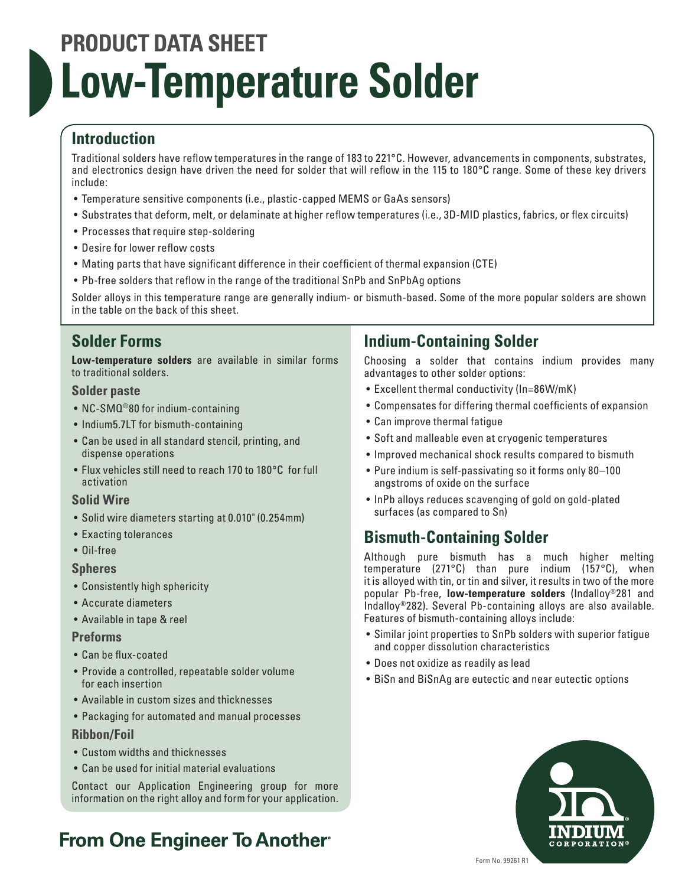# **PRODUCT DATA SHEET Low-Temperature Solder**

# **Introduction**

Traditional solders have reflow temperatures in the range of 183 to 221°C. However, advancements in components, substrates, and electronics design have driven the need for solder that will reflow in the 115 to 180°C range. Some of these key drivers include:

- Temperature sensitive components (i.e., plastic-capped MEMS or GaAs sensors)
- Substrates that deform, melt, or delaminate at higher reflow temperatures (i.e., 3D-MID plastics, fabrics, or flex circuits)
- Processes that require step-soldering
- Desire for lower reflow costs
- Mating parts that have significant difference in their coefficient of thermal expansion (CTE)
- Pb-free solders that reflow in the range of the traditional SnPb and SnPbAg options

Solder alloys in this temperature range are generally indium- or bismuth-based. Some of the more popular solders are shown in the table on the back of this sheet.

# **Solder Forms**

**Low-temperature solders** are available in similar forms to traditional solders.

### **Solder paste**

- NC-SMQ<sup>®</sup>80 for indium-containing
- Indium5.7LT for bismuth-containing
- Can be used in all standard stencil, printing, and dispense operations
- Flux vehicles still need to reach 170 to 180°C for full activation

### **Solid Wire**

- Solid wire diameters starting at 0.010" (0.254mm)
- Exacting tolerances
- Oil-free

### **Spheres**

- Consistently high sphericity
- Accurate diameters
- Available in tape & reel

#### **Preforms**

- Can be flux-coated
- Provide a controlled, repeatable solder volume for each insertion
- Available in custom sizes and thicknesses
- Packaging for automated and manual processes

### **Ribbon/Foil**

- Custom widths and thicknesses
- Can be used for initial material evaluations

Contact our Application Engineering group for more information on the right alloy and form for your application.

# **From One Engineer To Another**

# **Indium-Containing Solder**

Choosing a solder that contains indium provides many advantages to other solder options:

- Excellent thermal conductivity (In=86W/mK)
- Compensates for differing thermal coefficients of expansion
- Can improve thermal fatigue
- Soft and malleable even at cryogenic temperatures
- Improved mechanical shock results compared to bismuth
- Pure indium is self-passivating so it forms only 80–100 angstroms of oxide on the surface
- InPb alloys reduces scavenging of gold on gold-plated surfaces (as compared to Sn)

# **Bismuth-Containing Solder**

Although pure bismuth has a much higher melting temperature (271°C) than pure indium (157°C), when it is alloyed with tin, or tin and silver, it results in two of the more popular Pb-free, **low-temperature solders** (Indalloy®281 and Indalloy®282). Several Pb-containing alloys are also available. Features of bismuth-containing alloys include:

- Similar joint properties to SnPb solders with superior fatigue and copper dissolution characteristics
- Does not oxidize as readily as lead
- BiSn and BiSnAg are eutectic and near eutectic options